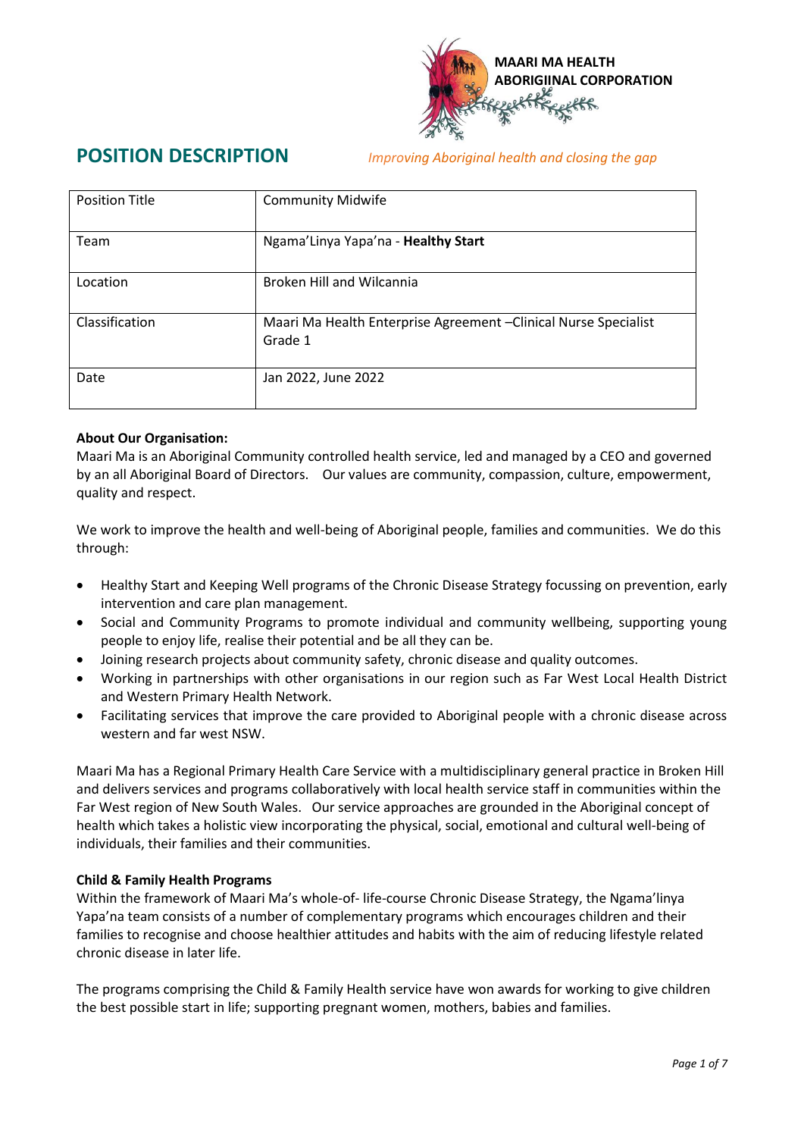

**POSITION DESCRIPTION** *Improving Aboriginal health and closing the gap*

| <b>Position Title</b> | <b>Community Midwife</b>                                                    |
|-----------------------|-----------------------------------------------------------------------------|
| Team                  | Ngama'Linya Yapa'na - Healthy Start                                         |
| Location              | <b>Broken Hill and Wilcannia</b>                                            |
| Classification        | Maari Ma Health Enterprise Agreement - Clinical Nurse Specialist<br>Grade 1 |
| Date                  | Jan 2022, June 2022                                                         |

### **About Our Organisation:**

Maari Ma is an Aboriginal Community controlled health service, led and managed by a CEO and governed by an all Aboriginal Board of Directors. Our values are community, compassion, culture, empowerment, quality and respect.

We work to improve the health and well-being of Aboriginal people, families and communities. We do this through:

- Healthy Start and Keeping Well programs of the Chronic Disease Strategy focussing on prevention, early intervention and care plan management.
- Social and Community Programs to promote individual and community wellbeing, supporting young people to enjoy life, realise their potential and be all they can be.
- Joining research projects about community safety, chronic disease and quality outcomes.
- Working in partnerships with other organisations in our region such as Far West Local Health District and Western Primary Health Network.
- Facilitating services that improve the care provided to Aboriginal people with a chronic disease across western and far west NSW.

Maari Ma has a Regional Primary Health Care Service with a multidisciplinary general practice in Broken Hill and delivers services and programs collaboratively with local health service staff in communities within the Far West region of New South Wales. Our service approaches are grounded in the Aboriginal concept of health which takes a holistic view incorporating the physical, social, emotional and cultural well-being of individuals, their families and their communities.

#### **Child & Family Health Programs**

Within the framework of Maari Ma's whole-of- life-course Chronic Disease Strategy, the Ngama'linya Yapa'na team consists of a number of complementary programs which encourages children and their families to recognise and choose healthier attitudes and habits with the aim of reducing lifestyle related chronic disease in later life.

The programs comprising the Child & Family Health service have won awards for working to give children the best possible start in life; supporting pregnant women, mothers, babies and families.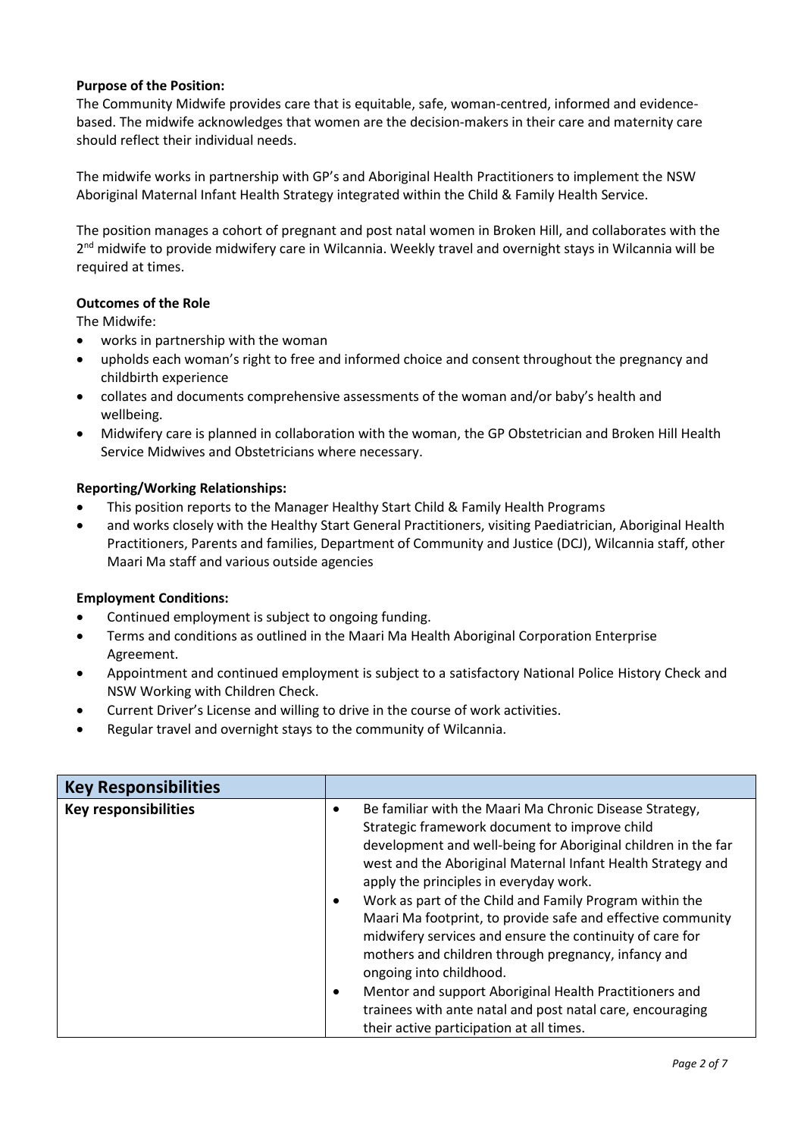### **Purpose of the Position:**

The Community Midwife provides care that is equitable, safe, woman-centred, informed and evidencebased. The midwife acknowledges that women are the decision-makers in their care and maternity care should reflect their individual needs.

The midwife works in partnership with GP's and Aboriginal Health Practitioners to implement the NSW Aboriginal Maternal Infant Health Strategy integrated within the Child & Family Health Service.

The position manages a cohort of pregnant and post natal women in Broken Hill, and collaborates with the 2<sup>nd</sup> midwife to provide midwifery care in Wilcannia. Weekly travel and overnight stays in Wilcannia will be required at times.

#### **Outcomes of the Role**

The Midwife:

- works in partnership with the woman
- upholds each woman's right to free and informed choice and consent throughout the pregnancy and childbirth experience
- collates and documents comprehensive assessments of the woman and/or baby's health and wellbeing.
- Midwifery care is planned in collaboration with the woman, the GP Obstetrician and Broken Hill Health Service Midwives and Obstetricians where necessary.

#### **Reporting/Working Relationships:**

- This position reports to the Manager Healthy Start Child & Family Health Programs
- and works closely with the Healthy Start General Practitioners, visiting Paediatrician, Aboriginal Health Practitioners, Parents and families, Department of Community and Justice (DCJ), Wilcannia staff, other Maari Ma staff and various outside agencies

#### **Employment Conditions:**

- Continued employment is subject to ongoing funding.
- Terms and conditions as outlined in the Maari Ma Health Aboriginal Corporation Enterprise Agreement.
- Appointment and continued employment is subject to a satisfactory National Police History Check and NSW Working with Children Check.
- Current Driver's License and willing to drive in the course of work activities.
- Regular travel and overnight stays to the community of Wilcannia.

| Be familiar with the Maari Ma Chronic Disease Strategy,<br>Strategic framework document to improve child<br>development and well-being for Aboriginal children in the far<br>west and the Aboriginal Maternal Infant Health Strategy and<br>apply the principles in everyday work.<br>Work as part of the Child and Family Program within the<br>Maari Ma footprint, to provide safe and effective community<br>midwifery services and ensure the continuity of care for<br>mothers and children through pregnancy, infancy and<br>ongoing into childhood.<br>Mentor and support Aboriginal Health Practitioners and<br>trainees with ante natal and post natal care, encouraging<br>their active participation at all times. |
|-------------------------------------------------------------------------------------------------------------------------------------------------------------------------------------------------------------------------------------------------------------------------------------------------------------------------------------------------------------------------------------------------------------------------------------------------------------------------------------------------------------------------------------------------------------------------------------------------------------------------------------------------------------------------------------------------------------------------------|
|                                                                                                                                                                                                                                                                                                                                                                                                                                                                                                                                                                                                                                                                                                                               |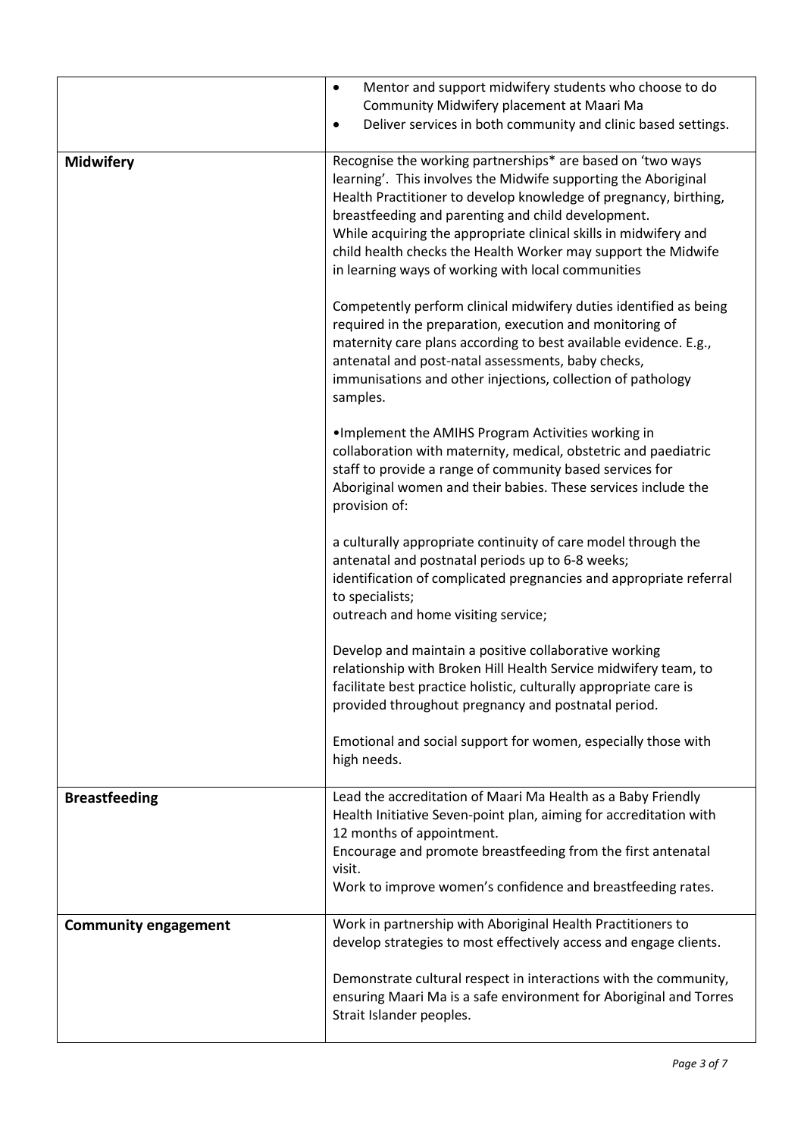|                             | Mentor and support midwifery students who choose to do<br>$\bullet$<br>Community Midwifery placement at Maari Ma<br>Deliver services in both community and clinic based settings.<br>$\bullet$                                                                                                                                                                                                                                                                                                                         |
|-----------------------------|------------------------------------------------------------------------------------------------------------------------------------------------------------------------------------------------------------------------------------------------------------------------------------------------------------------------------------------------------------------------------------------------------------------------------------------------------------------------------------------------------------------------|
| <b>Midwifery</b>            | Recognise the working partnerships* are based on 'two ways<br>learning'. This involves the Midwife supporting the Aboriginal<br>Health Practitioner to develop knowledge of pregnancy, birthing,<br>breastfeeding and parenting and child development.<br>While acquiring the appropriate clinical skills in midwifery and<br>child health checks the Health Worker may support the Midwife<br>in learning ways of working with local communities<br>Competently perform clinical midwifery duties identified as being |
|                             | required in the preparation, execution and monitoring of<br>maternity care plans according to best available evidence. E.g.,<br>antenatal and post-natal assessments, baby checks,<br>immunisations and other injections, collection of pathology<br>samples.                                                                                                                                                                                                                                                          |
|                             | . Implement the AMIHS Program Activities working in<br>collaboration with maternity, medical, obstetric and paediatric<br>staff to provide a range of community based services for<br>Aboriginal women and their babies. These services include the<br>provision of:                                                                                                                                                                                                                                                   |
|                             | a culturally appropriate continuity of care model through the<br>antenatal and postnatal periods up to 6-8 weeks;<br>identification of complicated pregnancies and appropriate referral<br>to specialists;<br>outreach and home visiting service;                                                                                                                                                                                                                                                                      |
|                             | Develop and maintain a positive collaborative working<br>relationship with Broken Hill Health Service midwifery team, to<br>facilitate best practice holistic, culturally appropriate care is<br>provided throughout pregnancy and postnatal period.                                                                                                                                                                                                                                                                   |
|                             | Emotional and social support for women, especially those with<br>high needs.                                                                                                                                                                                                                                                                                                                                                                                                                                           |
| <b>Breastfeeding</b>        | Lead the accreditation of Maari Ma Health as a Baby Friendly<br>Health Initiative Seven-point plan, aiming for accreditation with<br>12 months of appointment.<br>Encourage and promote breastfeeding from the first antenatal<br>visit.                                                                                                                                                                                                                                                                               |
|                             | Work to improve women's confidence and breastfeeding rates.                                                                                                                                                                                                                                                                                                                                                                                                                                                            |
| <b>Community engagement</b> | Work in partnership with Aboriginal Health Practitioners to<br>develop strategies to most effectively access and engage clients.                                                                                                                                                                                                                                                                                                                                                                                       |
|                             | Demonstrate cultural respect in interactions with the community,<br>ensuring Maari Ma is a safe environment for Aboriginal and Torres<br>Strait Islander peoples.                                                                                                                                                                                                                                                                                                                                                      |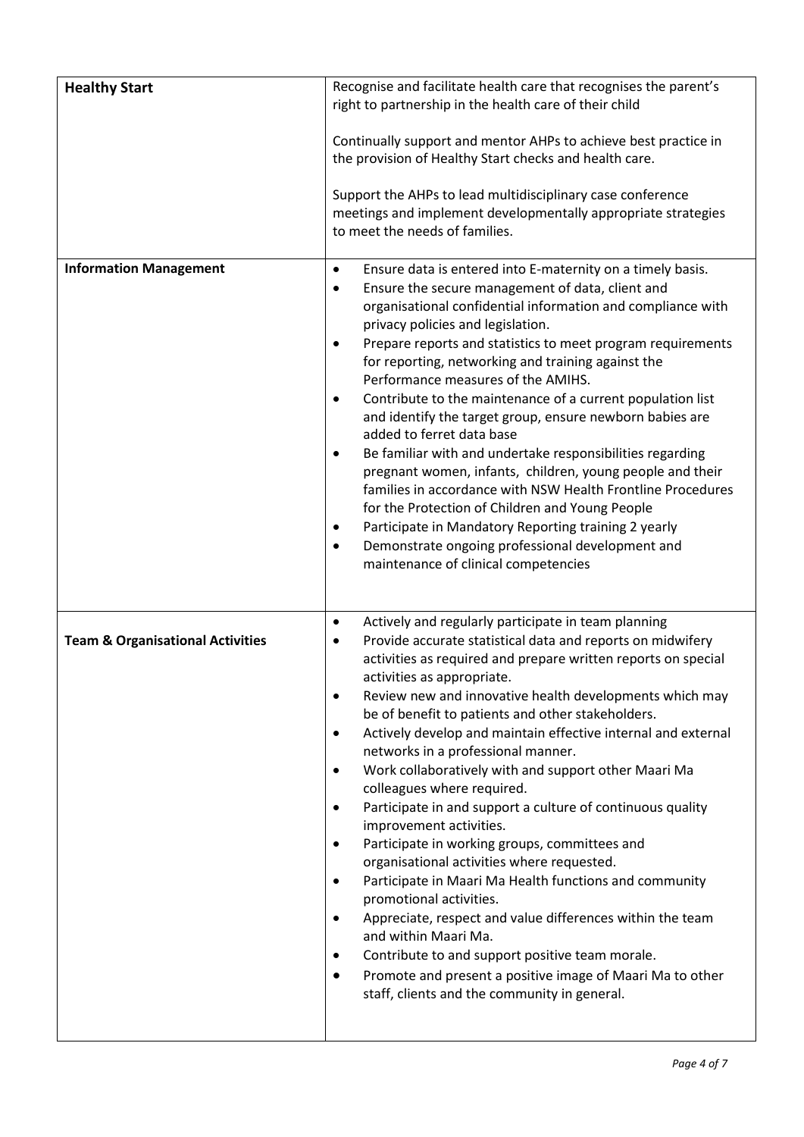| <b>Healthy Start</b>                        | Recognise and facilitate health care that recognises the parent's<br>right to partnership in the health care of their child<br>Continually support and mentor AHPs to achieve best practice in<br>the provision of Healthy Start checks and health care.<br>Support the AHPs to lead multidisciplinary case conference<br>meetings and implement developmentally appropriate strategies<br>to meet the needs of families.                                                                                                                                                                                                                                                                                                                                                                                                                                                                                                                                                                                                                                                                                                             |
|---------------------------------------------|---------------------------------------------------------------------------------------------------------------------------------------------------------------------------------------------------------------------------------------------------------------------------------------------------------------------------------------------------------------------------------------------------------------------------------------------------------------------------------------------------------------------------------------------------------------------------------------------------------------------------------------------------------------------------------------------------------------------------------------------------------------------------------------------------------------------------------------------------------------------------------------------------------------------------------------------------------------------------------------------------------------------------------------------------------------------------------------------------------------------------------------|
| <b>Information Management</b>               | Ensure data is entered into E-maternity on a timely basis.<br>٠<br>Ensure the secure management of data, client and<br>٠<br>organisational confidential information and compliance with<br>privacy policies and legislation.<br>Prepare reports and statistics to meet program requirements<br>$\bullet$<br>for reporting, networking and training against the<br>Performance measures of the AMIHS.<br>Contribute to the maintenance of a current population list<br>$\bullet$<br>and identify the target group, ensure newborn babies are<br>added to ferret data base<br>Be familiar with and undertake responsibilities regarding<br>$\bullet$<br>pregnant women, infants, children, young people and their<br>families in accordance with NSW Health Frontline Procedures<br>for the Protection of Children and Young People<br>Participate in Mandatory Reporting training 2 yearly<br>$\bullet$<br>Demonstrate ongoing professional development and<br>maintenance of clinical competencies                                                                                                                                    |
| <b>Team &amp; Organisational Activities</b> | Actively and regularly participate in team planning<br>$\bullet$<br>Provide accurate statistical data and reports on midwifery<br>activities as required and prepare written reports on special<br>activities as appropriate.<br>Review new and innovative health developments which may<br>be of benefit to patients and other stakeholders.<br>Actively develop and maintain effective internal and external<br>$\bullet$<br>networks in a professional manner.<br>Work collaboratively with and support other Maari Ma<br>$\bullet$<br>colleagues where required.<br>Participate in and support a culture of continuous quality<br>٠<br>improvement activities.<br>Participate in working groups, committees and<br>$\bullet$<br>organisational activities where requested.<br>Participate in Maari Ma Health functions and community<br>promotional activities.<br>Appreciate, respect and value differences within the team<br>$\bullet$<br>and within Maari Ma.<br>Contribute to and support positive team morale.<br>Promote and present a positive image of Maari Ma to other<br>staff, clients and the community in general. |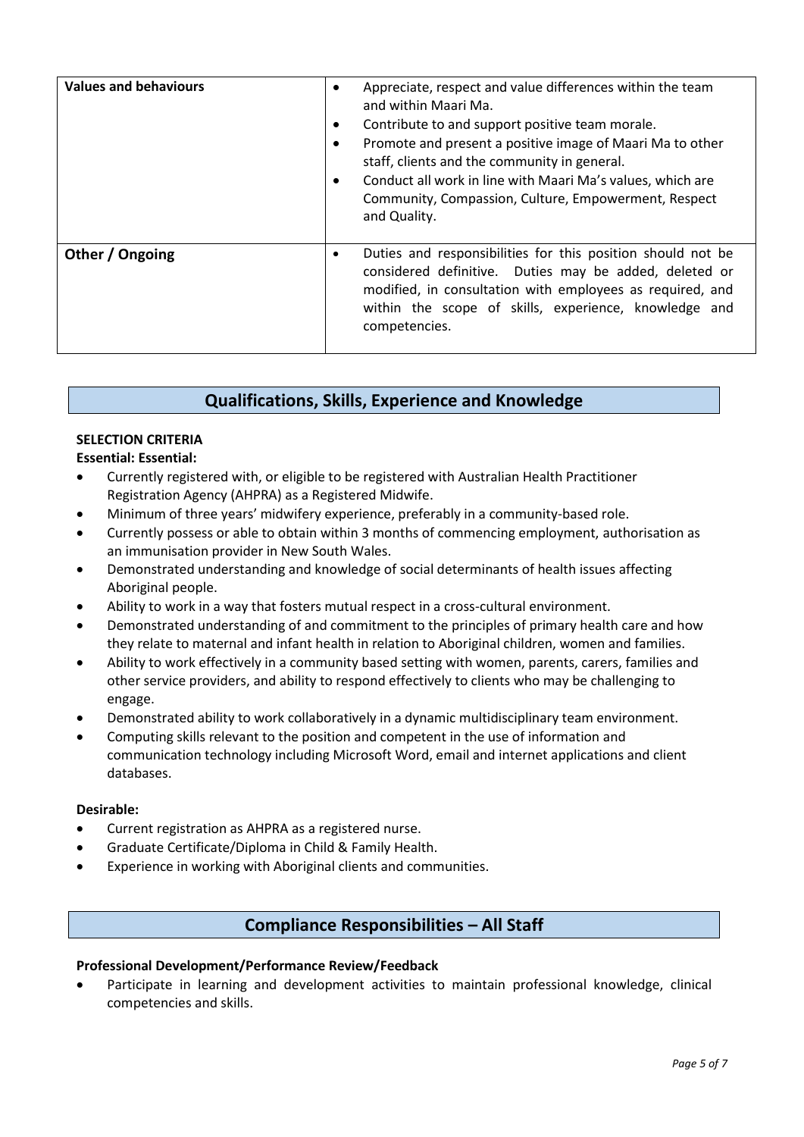| <b>Values and behaviours</b> | Appreciate, respect and value differences within the team<br>and within Maari Ma.<br>Contribute to and support positive team morale.<br>$\bullet$<br>Promote and present a positive image of Maari Ma to other<br>staff, clients and the community in general.<br>Conduct all work in line with Maari Ma's values, which are<br>Community, Compassion, Culture, Empowerment, Respect<br>and Quality. |
|------------------------------|------------------------------------------------------------------------------------------------------------------------------------------------------------------------------------------------------------------------------------------------------------------------------------------------------------------------------------------------------------------------------------------------------|
| Other / Ongoing              | Duties and responsibilities for this position should not be<br>considered definitive. Duties may be added, deleted or<br>modified, in consultation with employees as required, and<br>within the scope of skills, experience, knowledge and<br>competencies.                                                                                                                                         |

## **Qualifications, Skills, Experience and Knowledge**

### **SELECTION CRITERIA**

**Essential: Essential:**

- Currently registered with, or eligible to be registered with Australian Health Practitioner Registration Agency (AHPRA) as a Registered Midwife.
- Minimum of three years' midwifery experience, preferably in a community-based role.
- Currently possess or able to obtain within 3 months of commencing employment, authorisation as an immunisation provider in New South Wales.
- Demonstrated understanding and knowledge of social determinants of health issues affecting Aboriginal people.
- Ability to work in a way that fosters mutual respect in a cross-cultural environment.
- Demonstrated understanding of and commitment to the principles of primary health care and how they relate to maternal and infant health in relation to Aboriginal children, women and families.
- Ability to work effectively in a community based setting with women, parents, carers, families and other service providers, and ability to respond effectively to clients who may be challenging to engage.
- Demonstrated ability to work collaboratively in a dynamic multidisciplinary team environment.
- Computing skills relevant to the position and competent in the use of information and communication technology including Microsoft Word, email and internet applications and client databases.

#### **Desirable:**

- Current registration as AHPRA as a registered nurse.
- Graduate Certificate/Diploma in Child & Family Health.
- Experience in working with Aboriginal clients and communities.

# **Compliance Responsibilities – All Staff**

## **Professional Development/Performance Review/Feedback**

 Participate in learning and development activities to maintain professional knowledge, clinical competencies and skills.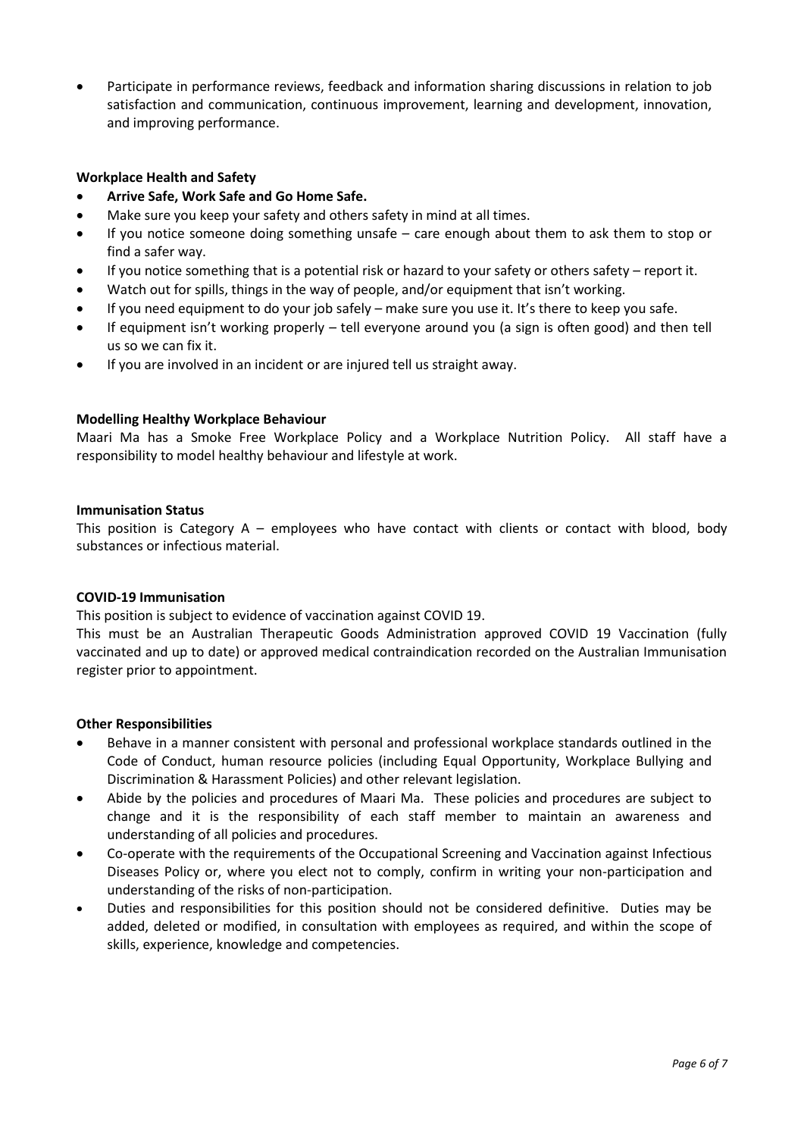Participate in performance reviews, feedback and information sharing discussions in relation to job satisfaction and communication, continuous improvement, learning and development, innovation, and improving performance.

#### **Workplace Health and Safety**

- **Arrive Safe, Work Safe and Go Home Safe.**
- Make sure you keep your safety and others safety in mind at all times.
- If you notice someone doing something unsafe care enough about them to ask them to stop or find a safer way.
- If you notice something that is a potential risk or hazard to your safety or others safety report it.
- Watch out for spills, things in the way of people, and/or equipment that isn't working.
- If you need equipment to do your job safely make sure you use it. It's there to keep you safe.
- If equipment isn't working properly tell everyone around you (a sign is often good) and then tell us so we can fix it.
- If you are involved in an incident or are injured tell us straight away.

#### **Modelling Healthy Workplace Behaviour**

Maari Ma has a Smoke Free Workplace Policy and a Workplace Nutrition Policy. All staff have a responsibility to model healthy behaviour and lifestyle at work.

#### **Immunisation Status**

This position is Category  $A$  – employees who have contact with clients or contact with blood, body substances or infectious material.

#### **COVID-19 Immunisation**

This position is subject to evidence of vaccination against COVID 19.

This must be an Australian Therapeutic Goods Administration approved COVID 19 Vaccination (fully vaccinated and up to date) or approved medical contraindication recorded on the Australian Immunisation register prior to appointment.

#### **Other Responsibilities**

- Behave in a manner consistent with personal and professional workplace standards outlined in the Code of Conduct, human resource policies (including Equal Opportunity, Workplace Bullying and Discrimination & Harassment Policies) and other relevant legislation.
- Abide by the policies and procedures of Maari Ma. These policies and procedures are subject to change and it is the responsibility of each staff member to maintain an awareness and understanding of all policies and procedures.
- Co-operate with the requirements of the Occupational Screening and Vaccination against Infectious Diseases Policy or, where you elect not to comply, confirm in writing your non-participation and understanding of the risks of non-participation.
- Duties and responsibilities for this position should not be considered definitive. Duties may be added, deleted or modified, in consultation with employees as required, and within the scope of skills, experience, knowledge and competencies.